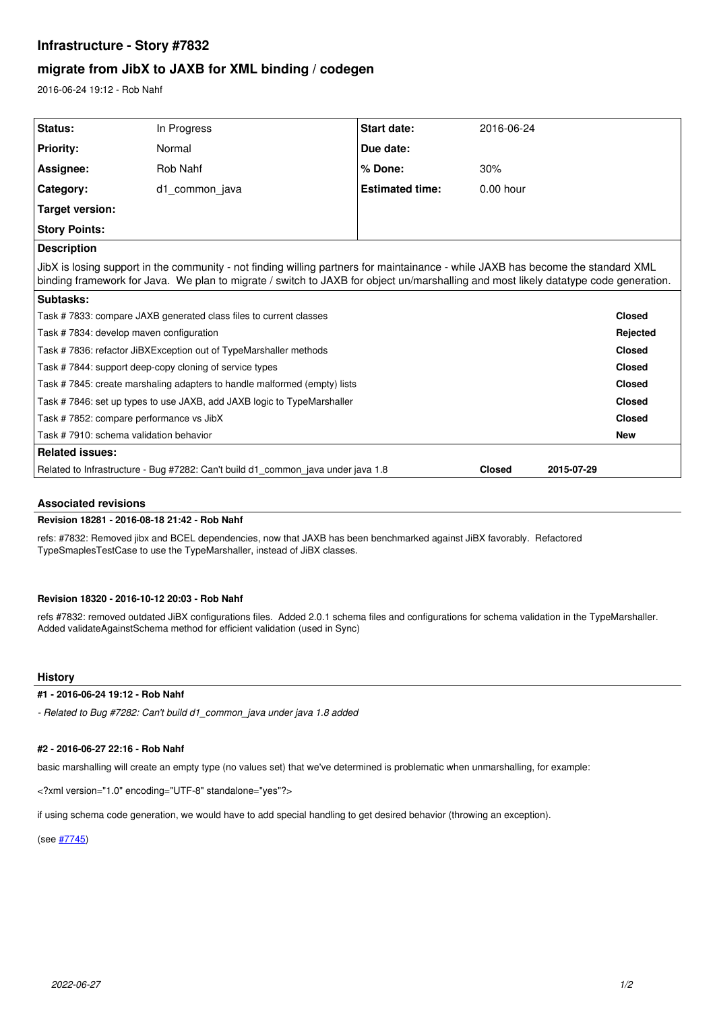# **Infrastructure - Story #7832**

# **migrate from JibX to JAXB for XML binding / codegen**

2016-06-24 19:12 - Rob Nahf

| Status:                                                                                                                                                                                                                                                                 | In Progress    | Start date:            | 2016-06-24    |               |               |
|-------------------------------------------------------------------------------------------------------------------------------------------------------------------------------------------------------------------------------------------------------------------------|----------------|------------------------|---------------|---------------|---------------|
| <b>Priority:</b>                                                                                                                                                                                                                                                        | Normal         | Due date:              |               |               |               |
| Assignee:                                                                                                                                                                                                                                                               | Rob Nahf       | % Done:                | 30%           |               |               |
| Category:                                                                                                                                                                                                                                                               | d1 common java | <b>Estimated time:</b> | $0.00$ hour   |               |               |
| Target version:                                                                                                                                                                                                                                                         |                |                        |               |               |               |
| <b>Story Points:</b>                                                                                                                                                                                                                                                    |                |                        |               |               |               |
| <b>Description</b>                                                                                                                                                                                                                                                      |                |                        |               |               |               |
| JibX is losing support in the community - not finding willing partners for maintainance - while JAXB has become the standard XML<br>binding framework for Java. We plan to migrate / switch to JAXB for object un/marshalling and most likely datatype code generation. |                |                        |               |               |               |
| Subtasks:                                                                                                                                                                                                                                                               |                |                        |               |               |               |
| Task #7833: compare JAXB generated class files to current classes                                                                                                                                                                                                       |                |                        |               |               | <b>Closed</b> |
| Task #7834: develop maven configuration                                                                                                                                                                                                                                 |                |                        |               | Rejected      |               |
| Task #7836: refactor JiBXException out of TypeMarshaller methods                                                                                                                                                                                                        |                |                        |               | <b>Closed</b> |               |
| Task #7844: support deep-copy cloning of service types                                                                                                                                                                                                                  |                |                        |               | <b>Closed</b> |               |
| Task #7845: create marshaling adapters to handle malformed (empty) lists                                                                                                                                                                                                |                |                        |               | <b>Closed</b> |               |
| Task #7846: set up types to use JAXB, add JAXB logic to TypeMarshaller                                                                                                                                                                                                  |                |                        |               | Closed        |               |
| Task #7852: compare performance vs JibX                                                                                                                                                                                                                                 |                |                        |               | <b>Closed</b> |               |
| Task #7910: schema validation behavior                                                                                                                                                                                                                                  |                |                        |               | <b>New</b>    |               |
| <b>Related issues:</b>                                                                                                                                                                                                                                                  |                |                        |               |               |               |
| Related to Infrastructure - Bug #7282: Can't build d1 common java under java 1.8                                                                                                                                                                                        |                |                        | <b>Closed</b> | 2015-07-29    |               |

## **Associated revisions**

## **Revision 18281 - 2016-08-18 21:42 - Rob Nahf**

refs: #7832: Removed jibx and BCEL dependencies, now that JAXB has been benchmarked against JiBX favorably. Refactored TypeSmaplesTestCase to use the TypeMarshaller, instead of JiBX classes.

## **Revision 18320 - 2016-10-12 20:03 - Rob Nahf**

refs #7832: removed outdated JiBX configurations files. Added 2.0.1 schema files and configurations for schema validation in the TypeMarshaller. Added validateAgainstSchema method for efficient validation (used in Sync)

# **History**

## **#1 - 2016-06-24 19:12 - Rob Nahf**

*- Related to Bug #7282: Can't build d1\_common\_java under java 1.8 added*

## **#2 - 2016-06-27 22:16 - Rob Nahf**

basic marshalling will create an empty type (no values set) that we've determined is problematic when unmarshalling, for example:

<?xml version="1.0" encoding="UTF-8" standalone="yes"?>

if using schema code generation, we would have to add special handling to get desired behavior (throwing an exception).

(see [#7745](https://redmine.dataone.org/issues/7745))